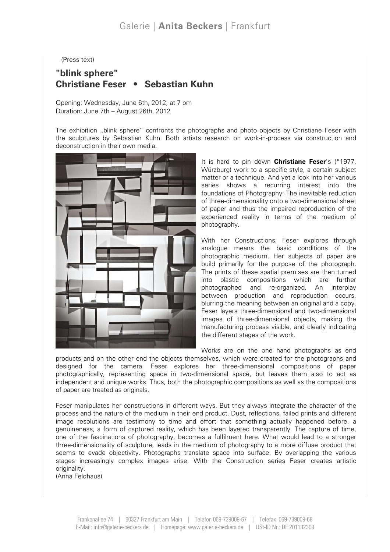(Press text)

## "blink sphere" Christiane Feser • Sebastian Kuhn

Opening: Wednesday, June 6th, 2012, at 7 pm Duration: June 7th – August 26th, 2012

The exhibition "blink sphere" confronts the photographs and photo objects by Christiane Feser with the sculptures by Sebastian Kuhn. Both artists research on work-in-process via construction and deconstruction in their own media.



It is hard to pin down **Christiane Feser's (\*1977,** Würzburg) work to a specific style, a certain subject matter or a technique. And yet a look into her various series shows a recurring interest into the foundations of Photography: The inevitable reduction of three-dimensionality onto a two-dimensional sheet of paper and thus the impaired reproduction of the experienced reality in terms of the medium of photography.

With her Constructions, Feser explores through analogue means the basic conditions of the photographic medium. Her subjects of paper are build primarily for the purpose of the photograph. The prints of these spatial premises are then turned into plastic compositions which are further photographed and re-organized. An interplay between production and reproduction occurs, blurring the meaning between an original and a copy. Feser layers three-dimensional and two-dimensional images of three-dimensional objects, making the manufacturing process visible, and clearly indicating the different stages of the work.

Works are on the one hand photographs as end

products and on the other end the objects themselves, which were created for the photographs and designed for the camera. Feser explores her three-dimensional compositions of paper photographically, representing space in two-dimensional space, but leaves them also to act as independent and unique works. Thus, both the photographic compositions as well as the compositions of paper are treated as originals.

Feser manipulates her constructions in different ways. But they always integrate the character of the process and the nature of the medium in their end product. Dust, reflections, failed prints and different image resolutions are testimony to time and effort that something actually happened before, a genuineness, a form of captured reality, which has been layered transparently. The capture of time, one of the fascinations of photography, becomes a fulfilment here. What would lead to a stronger three-dimensionality of sculpture, leads in the medium of photography to a more diffuse product that seems to evade objectivity. Photographs translate space into surface. By overlapping the various stages increasingly complex images arise. With the Construction series Feser creates artistic originality.

(Anna Feldhaus)